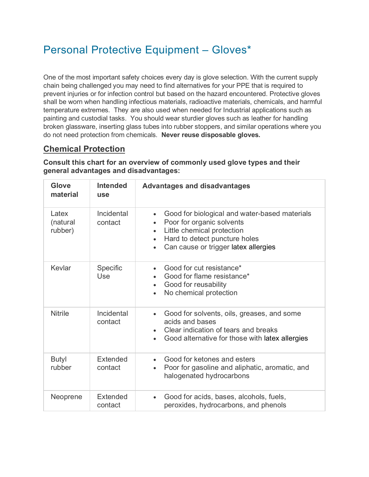# Personal Protective Equipment – Gloves\*

One of the most important safety choices every day is glove selection. With the current supply chain being challenged you may need to find alternatives for your PPE that is required to prevent injuries or for infection control but based on the hazard encountered. Protective gloves shall be worn when handling infectious materials, radioactive materials, chemicals, and harmful temperature extremes. They are also used when needed for Industrial applications such as painting and custodial tasks. You should wear sturdier gloves such as leather for handling broken glassware, inserting glass tubes into rubber stoppers, and similar operations where you do not need protection from chemicals. **Never reuse disposable gloves.**

## **Chemical Protection**

**Consult this chart for an overview of commonly used glove types and their general advantages and disadvantages:**

| Glove<br>material            | <b>Intended</b><br><b>use</b> | <b>Advantages and disadvantages</b>                                                                                                                                                                                                                |
|------------------------------|-------------------------------|----------------------------------------------------------------------------------------------------------------------------------------------------------------------------------------------------------------------------------------------------|
| Latex<br>(natural<br>rubber) | Incidental<br>contact         | Good for biological and water-based materials<br>$\bullet$<br>Poor for organic solvents<br>$\bullet$<br>Little chemical protection<br>$\bullet$<br>Hard to detect puncture holes<br>$\bullet$<br>Can cause or trigger latex allergies<br>$\bullet$ |
| Kevlar                       | Specific<br>Use               | Good for cut resistance*<br>$\bullet$<br>Good for flame resistance*<br>Good for reusability<br>$\bullet$<br>No chemical protection<br>$\bullet$                                                                                                    |
| <b>Nitrile</b>               | Incidental<br>contact         | Good for solvents, oils, greases, and some<br>$\bullet$<br>acids and bases<br>Clear indication of tears and breaks<br>$\bullet$<br>Good alternative for those with latex allergies<br>$\bullet$                                                    |
| <b>Butyl</b><br>rubber       | Extended<br>contact           | Good for ketones and esters<br>$\bullet$<br>Poor for gasoline and aliphatic, aromatic, and<br>$\bullet$<br>halogenated hydrocarbons                                                                                                                |
| Neoprene                     | Extended<br>contact           | Good for acids, bases, alcohols, fuels,<br>$\bullet$<br>peroxides, hydrocarbons, and phenols                                                                                                                                                       |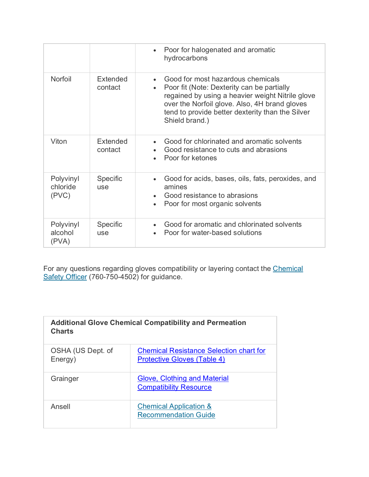|                                |                        | Poor for halogenated and aromatic<br>$\bullet$<br>hydrocarbons                                                                                                                                                                                             |
|--------------------------------|------------------------|------------------------------------------------------------------------------------------------------------------------------------------------------------------------------------------------------------------------------------------------------------|
| Norfoil                        | Extended<br>contact    | Good for most hazardous chemicals<br>Poor fit (Note: Dexterity can be partially<br>regained by using a heavier weight Nitrile glove<br>over the Norfoil glove. Also, 4H brand gloves<br>tend to provide better dexterity than the Silver<br>Shield brand.) |
| Viton                          | Extended<br>contact    | Good for chlorinated and aromatic solvents<br>Good resistance to cuts and abrasions<br>Poor for ketones                                                                                                                                                    |
| Polyvinyl<br>chloride<br>(PVC) | Specific<br><b>USe</b> | Good for acids, bases, oils, fats, peroxides, and<br>amines<br>Good resistance to abrasions<br>Poor for most organic solvents<br>$\bullet$                                                                                                                 |
| Polyvinyl<br>alcohol<br>(PVA)  | <b>Specific</b><br>use | Good for aromatic and chlorinated solvents<br>Poor for water-based solutions                                                                                                                                                                               |

For any questions regarding gloves compatibility or layering contact the Chemical [Safety Officer](mailto:shs@csusm.edu) (760-750-4502) for guidance.

| <b>Additional Glove Chemical Compatibility and Permeation</b><br><b>Charts</b> |                                                                                      |  |
|--------------------------------------------------------------------------------|--------------------------------------------------------------------------------------|--|
| OSHA (US Dept. of<br>Energy)                                                   | <b>Chemical Resistance Selection chart for</b><br><b>Protective Gloves (Table 4)</b> |  |
| Grainger                                                                       | <b>Glove, Clothing and Material</b><br><b>Compatibility Resource</b>                 |  |
| Ansell                                                                         | <b>Chemical Application &amp;</b><br><b>Recommendation Guide</b>                     |  |